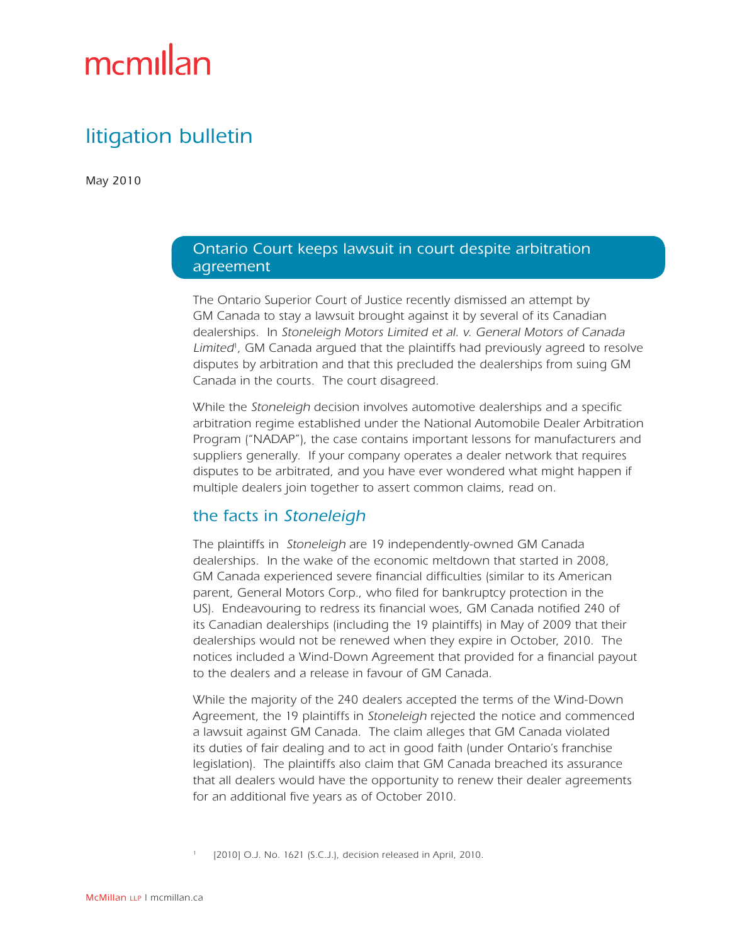# mcmillan

# litigation bulletin

May 2010

#### Ontario Court keeps lawsuit in court despite arbitration agreement

The Ontario Superior Court of Justice recently dismissed an attempt by GM Canada to stay a lawsuit brought against it by several of its Canadian dealerships. In Stoneleigh Motors Limited et al. v. General Motors of Canada Limited<sup>1</sup>, GM Canada argued that the plaintiffs had previously agreed to resolve disputes by arbitration and that this precluded the dealerships from suing GM Canada in the courts. The court disagreed.

While the Stoneleigh decision involves automotive dealerships and a specific arbitration regime established under the National Automobile Dealer Arbitration Program ("NADAP"), the case contains important lessons for manufacturers and suppliers generally. If your company operates a dealer network that requires disputes to be arbitrated, and you have ever wondered what might happen if multiple dealers join together to assert common claims, read on.

## the facts in Stoneleigh

The plaintiffs in Stoneleigh are 19 independently-owned GM Canada dealerships. In the wake of the economic meltdown that started in 2008, GM Canada experienced severe financial difficulties (similar to its American parent, General Motors Corp., who filed for bankruptcy protection in the US). Endeavouring to redress its financial woes, GM Canada notified 240 of its Canadian dealerships (including the 19 plaintiffs) in May of 2009 that their dealerships would not be renewed when they expire in October, 2010. The notices included a Wind-Down Agreement that provided for a financial payout to the dealers and a release in favour of GM Canada.

While the majority of the 240 dealers accepted the terms of the Wind-Down Agreement, the 19 plaintiffs in Stoneleigh rejected the notice and commenced a lawsuit against GM Canada. The claim alleges that GM Canada violated its duties of fair dealing and to act in good faith (under Ontario's franchise legislation). The plaintiffs also claim that GM Canada breached its assurance that all dealers would have the opportunity to renew their dealer agreements for an additional five years as of October 2010.

[2010] O.J. No. 1621 (S.C.J.), decision released in April, 2010.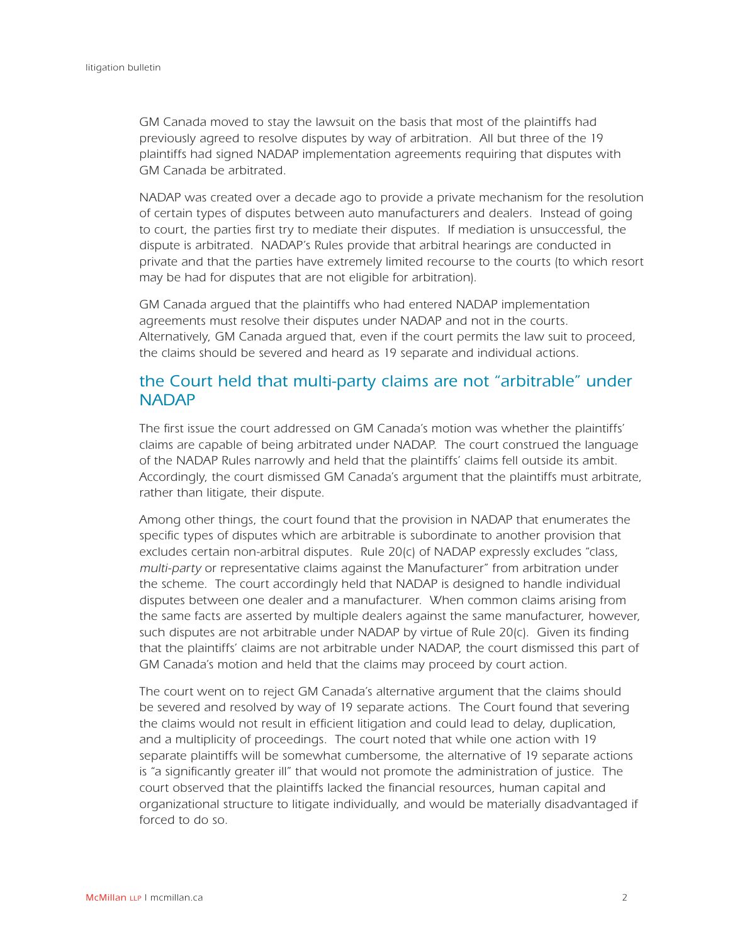GM Canada moved to stay the lawsuit on the basis that most of the plaintiffs had previously agreed to resolve disputes by way of arbitration. All but three of the 19 plaintiffs had signed NADAP implementation agreements requiring that disputes with GM Canada be arbitrated.

NADAP was created over a decade ago to provide a private mechanism for the resolution of certain types of disputes between auto manufacturers and dealers. Instead of going to court, the parties first try to mediate their disputes. If mediation is unsuccessful, the dispute is arbitrated. NADAP's Rules provide that arbitral hearings are conducted in private and that the parties have extremely limited recourse to the courts (to which resort may be had for disputes that are not eligible for arbitration).

GM Canada argued that the plaintiffs who had entered NADAP implementation agreements must resolve their disputes under NADAP and not in the courts. Alternatively, GM Canada argued that, even if the court permits the law suit to proceed, the claims should be severed and heard as 19 separate and individual actions.

### the Court held that multi-party claims are not "arbitrable" under **NADAP**

The first issue the court addressed on GM Canada's motion was whether the plaintiffs' claims are capable of being arbitrated under NADAP. The court construed the language of the NADAP Rules narrowly and held that the plaintiffs' claims fell outside its ambit. Accordingly, the court dismissed GM Canada's argument that the plaintiffs must arbitrate, rather than litigate, their dispute.

Among other things, the court found that the provision in NADAP that enumerates the specific types of disputes which are arbitrable is subordinate to another provision that excludes certain non-arbitral disputes. Rule 20(c) of NADAP expressly excludes "class, multi-party or representative claims against the Manufacturer" from arbitration under the scheme. The court accordingly held that NADAP is designed to handle individual disputes between one dealer and a manufacturer. When common claims arising from the same facts are asserted by multiple dealers against the same manufacturer, however, such disputes are not arbitrable under NADAP by virtue of Rule 20(c). Given its finding that the plaintiffs' claims are not arbitrable under NADAP, the court dismissed this part of GM Canada's motion and held that the claims may proceed by court action.

The court went on to reject GM Canada's alternative argument that the claims should be severed and resolved by way of 19 separate actions. The Court found that severing the claims would not result in efficient litigation and could lead to delay, duplication, and a multiplicity of proceedings. The court noted that while one action with 19 separate plaintiffs will be somewhat cumbersome, the alternative of 19 separate actions is "a significantly greater ill" that would not promote the administration of justice. The court observed that the plaintiffs lacked the financial resources, human capital and organizational structure to litigate individually, and would be materially disadvantaged if forced to do so.